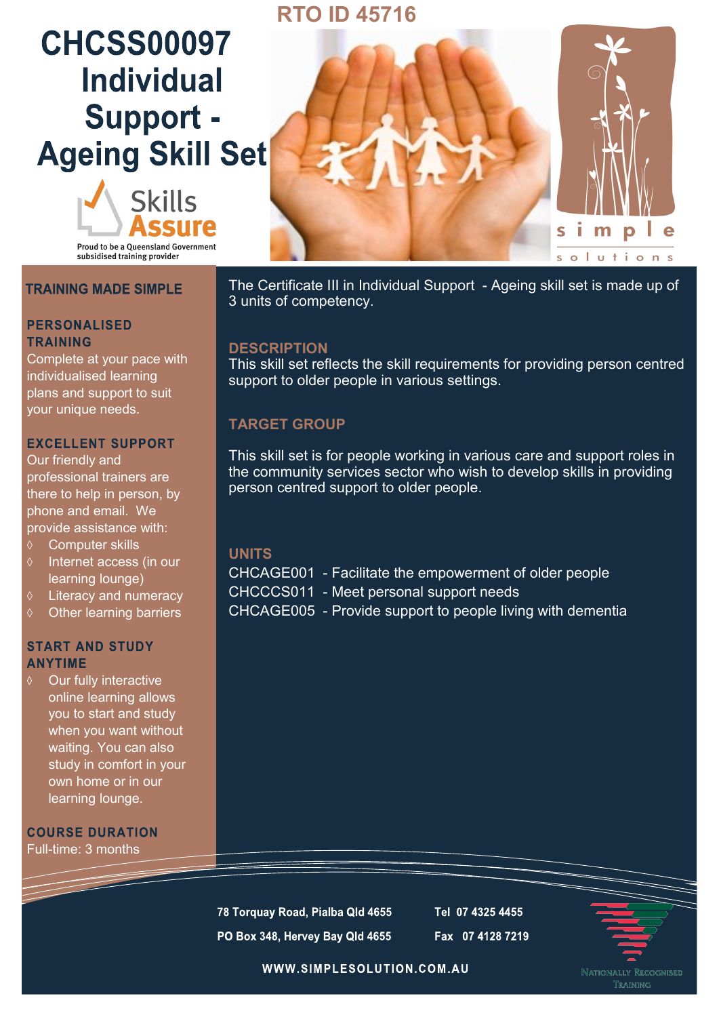## **RTO ID 45716**

# **CHCSS00097 Individual** Support -**Ageing Skill Set**



**Proud to be a Queensland Government** subsidised training provider

## **TRAINING MADE SIMPLE**

### **PERSONALISED TRAINING**

Complete at your pace with individualised learning plans and support to suit your unique needs.

## **EXCELLENT SUPPORT**

Our friendly and professional trainers are there to help in person, by phone and email. We provide assistance with:

- Computer skills
- $\Diamond$  Internet access (in our learning lounge)
- Literacy and numeracy
- $\diamond$  Other learning barriers

## **START AND STUDY ANYTIME**

Our fully interactive online learning allows you to start and study when you want without waiting. You can also study in comfort in your own home or in our learning lounge.

**COURSE DURATION** Full-time: 3 months



The Certificate III in Individual Support - Ageing skill set is made up of 3 units of competency.

## **DESCRIPTION**

This skill set reflects the skill requirements for providing person centred support to older people in various settings.

## **TARGET GROUP**

This skill set is for people working in various care and support roles in the community services sector who wish to develop skills in providing person centred support to older people.

## **UNITS**

CHCAGE001 - Facilitate the empowerment of older people CHCCCS011 - Meet personal support needs CHCAGE005 - Provide support to people living with dementia

78 Torquay Road, Pialba Qld 4655 PO Box 348, Hervey Bay Qld 4655 Tel 07 4325 4455 Fax 07 4128 7219



WWW.SIMPLESOLUTION.COM.AU